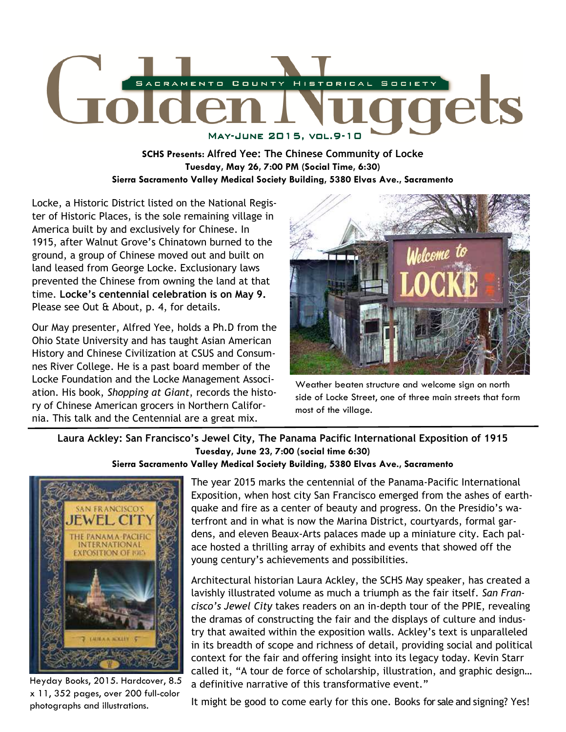

**SCHS Presents: Alfred Yee: The Chinese Community of Locke Tuesday, May 26, 7:00 PM (Social Time, 6:30) Sierra Sacramento Valley Medical Society Building, 5380 Elvas Ave., Sacramento** 

Locke, a Historic District listed on the National Register of Historic Places, is the sole remaining village in America built by and exclusively for Chinese. In 1915, after Walnut Grove's Chinatown burned to the ground, a group of Chinese moved out and built on land leased from George Locke. Exclusionary laws prevented the Chinese from owning the land at that time. **Locke's centennial celebration is on May 9.**  Please see Out & About, p. 4, for details.

Our May presenter, Alfred Yee, holds a Ph.D from the Ohio State University and has taught Asian American History and Chinese Civilization at CSUS and Consumnes River College. He is a past board member of the Locke Foundation and the Locke Management Association. His book, *Shopping at Giant*, records the history of Chinese American grocers in Northern California. This talk and the Centennial are a great mix.



Weather beaten structure and welcome sign on north side of Locke Street, one of three main streets that form most of the village.

**Laura Ackley: San Francisco's Jewel City, The Panama Pacific International Exposition of 1915 Tuesday, June 23, 7:00 (social time 6:30) Sierra Sacramento Valley Medical Society Building, 5380 Elvas Ave., Sacramento** 



Heyday Books, 2015. Hardcover, 8.5 x 11, 352 pages, over 200 full-color photographs and illustrations.

The year 2015 marks the centennial of the Panama-Pacific International Exposition, when host city San Francisco emerged from the ashes of earthquake and fire as a center of beauty and progress. On the Presidio's waterfront and in what is now the Marina District, courtyards, formal gardens, and eleven Beaux-Arts palaces made up a miniature city. Each palace hosted a thrilling array of exhibits and events that showed off the young century's achievements and possibilities.

Architectural historian Laura Ackley, the SCHS May speaker, has created a lavishly illustrated volume as much a triumph as the fair itself. *San Francisco's Jewel City* takes readers on an in-depth tour of the PPIE, revealing the dramas of constructing the fair and the displays of culture and industry that awaited within the exposition walls. Ackley's text is unparalleled in its breadth of scope and richness of detail, providing social and political context for the fair and offering insight into its legacy today. Kevin Starr called it, "A tour de force of scholarship, illustration, and graphic design… a definitive narrative of this transformative event."

It might be good to come early for this one. Books for sale and signing? Yes!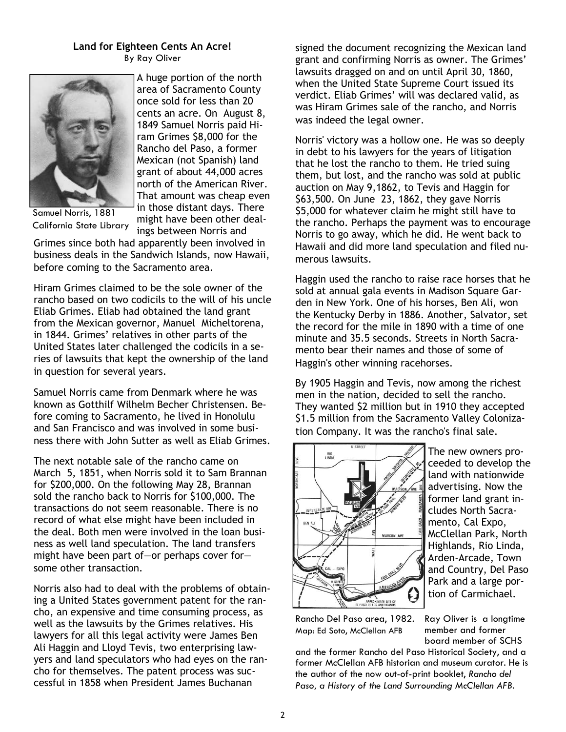# **Land for Eighteen Cents An Acre!**  By Ray Oliver



A huge portion of the north area of Sacramento County once sold for less than 20 cents an acre. On August 8, 1849 Samuel Norris paid Hiram Grimes \$8,000 for the Rancho del Paso, a former Mexican (not Spanish) land grant of about 44,000 acres north of the American River. That amount was cheap even in those distant days. There might have been other deal-

Samuel Norris, 1881 California State Library

ings between Norris and Grimes since both had apparently been involved in business deals in the Sandwich Islands, now Hawaii, before coming to the Sacramento area.

Hiram Grimes claimed to be the sole owner of the rancho based on two codicils to the will of his uncle Eliab Grimes. Eliab had obtained the land grant from the Mexican governor, Manuel Micheltorena, in 1844. Grimes' relatives in other parts of the United States later challenged the codicils in a series of lawsuits that kept the ownership of the land in question for several years.

Samuel Norris came from Denmark where he was known as Gotthilf Wilhelm Becher Christensen. Before coming to Sacramento, he lived in Honolulu and San Francisco and was involved in some business there with John Sutter as well as Eliab Grimes.

The next notable sale of the rancho came on March 5, 1851, when Norris sold it to Sam Brannan for \$200,000. On the following May 28, Brannan sold the rancho back to Norris for \$100,000. The transactions do not seem reasonable. There is no record of what else might have been included in the deal. Both men were involved in the loan business as well land speculation. The land transfers might have been part of—or perhaps cover for some other transaction.

Norris also had to deal with the problems of obtaining a United States government patent for the rancho, an expensive and time consuming process, as well as the lawsuits by the Grimes relatives. His lawyers for all this legal activity were James Ben Ali Haggin and Lloyd Tevis, two enterprising lawyers and land speculators who had eyes on the rancho for themselves. The patent process was successful in 1858 when President James Buchanan

signed the document recognizing the Mexican land grant and confirming Norris as owner. The Grimes' lawsuits dragged on and on until April 30, 1860, when the United State Supreme Court issued its verdict. Eliab Grimes' will was declared valid, as was Hiram Grimes sale of the rancho, and Norris was indeed the legal owner.

Norris' victory was a hollow one. He was so deeply in debt to his lawyers for the years of litigation that he lost the rancho to them. He tried suing them, but lost, and the rancho was sold at public auction on May 9,1862, to Tevis and Haggin for \$63,500. On June 23, 1862, they gave Norris \$5,000 for whatever claim he might still have to the rancho. Perhaps the payment was to encourage Norris to go away, which he did. He went back to Hawaii and did more land speculation and filed numerous lawsuits.

Haggin used the rancho to raise race horses that he sold at annual gala events in Madison Square Garden in New York. One of his horses, Ben Ali, won the Kentucky Derby in 1886. Another, Salvator, set the record for the mile in 1890 with a time of one minute and 35.5 seconds. Streets in North Sacramento bear their names and those of some of Haggin's other winning racehorses.

By 1905 Haggin and Tevis, now among the richest men in the nation, decided to sell the rancho. They wanted \$2 million but in 1910 they accepted \$1.5 million from the Sacramento Valley Colonization Company. It was the rancho's final sale.



The new owners proceeded to develop the land with nationwide advertising. Now the former land grant includes North Sacramento, Cal Expo, McClellan Park, North Highlands, Rio Linda, Arden-Arcade, Town and Country, Del Paso Park and a large portion of Carmichael.

Rancho Del Paso area, 1982. Map: Ed Soto, McClellan AFB

Ray Oliver is a longtime member and former board member of SCHS

and the former Rancho del Paso Historical Society, and a former McClellan AFB historian and museum curator. He is the author of the now out-of-print booklet, *Rancho del Paso, a History of the Land Surrounding McClellan AFB.*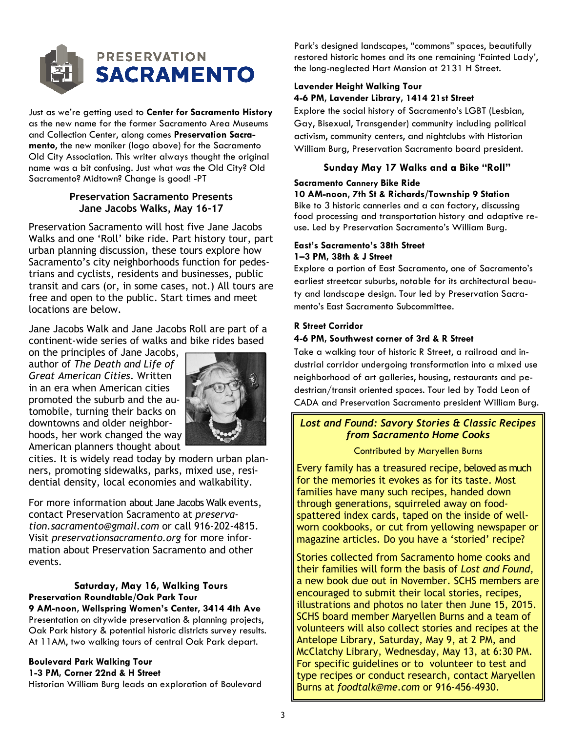

Just as we're getting used to **Center for Sacramento History**  as the new name for the former Sacramento Area Museums and Collection Center, along comes **Preservation Sacramento**, the new moniker (logo above) for the Sacramento Old City Association. This writer always thought the original name was a bit confusing. Just what *was* the Old City? Old Sacramento? Midtown? Change is good! -PT

# **Preservation Sacramento Presents Jane Jacobs Walks, May 16-17**

Preservation Sacramento will host five Jane Jacobs Walks and one 'Roll' bike ride. Part history tour, part urban planning discussion, these tours explore how Sacramento's city neighborhoods function for pedestrians and cyclists, residents and businesses, public transit and cars (or, in some cases, not.) All tours are free and open to the public. Start times and meet locations are below.

Jane Jacobs Walk and Jane Jacobs Roll are part of a continent-wide series of walks and bike rides based

on the principles of Jane Jacobs, author of *The Death and Life of Great American Cities*. Written in an era when American cities promoted the suburb and the automobile, turning their backs on downtowns and older neighborhoods, her work changed the way American planners thought about



cities. It is widely read today by modern urban planners, promoting sidewalks, parks, mixed use, residential density, local economies and walkability.

For more information about Jane Jacobs Walk events, contact Preservation Sacramento at *preservation.sacramento@gmail.com* or call 916-202-4815. Visit *preservationsacramento.org* for more information about Preservation Sacramento and other events.

# **Saturday, May 16, Walking Tours Preservation Roundtable/Oak Park Tour**

**9 AM-noon, Wellspring Women's Center, 3414 4th Ave**  Presentation on citywide preservation & planning projects, Oak Park history & potential historic districts survey results. At 11AM, two walking tours of central Oak Park depart.

#### **Boulevard Park Walking Tour 1-3 PM, Corner 22nd & H Street**

Historian William Burg leads an exploration of Boulevard

Park's designed landscapes, "commons" spaces, beautifully restored historic homes and its one remaining 'Fainted Lady', the long-neglected Hart Mansion at 2131 H Street.

#### **Lavender Height Walking Tour 4-6 PM, Lavender Library, 1414 21st Street**

Explore the social history of Sacramento's LGBT (Lesbian, Gay, Bisexual, Transgender) community including political activism, community centers, and nightclubs with Historian William Burg, Preservation Sacramento board president.

# **Sunday May 17 Walks and a Bike "Roll"**

# **Sacramento Cannery Bike Ride**

#### **10 AM-noon, 7th St & Richards/Township 9 Station**

Bike to 3 historic canneries and a can factory, discussing food processing and transportation history and adaptive reuse. Led by Preservation Sacramento's William Burg.

#### **East's Sacramento's 38th Street 1–3 PM, 38th & J Street**

Explore a portion of East Sacramento, one of Sacramento's earliest streetcar suburbs, notable for its architectural beauty and landscape design. Tour led by Preservation Sacramento's East Sacramento Subcommittee.

# **R Street Corridor**

# **4-6 PM, Southwest corner of 3rd & R Street**

Take a walking tour of historic R Street, a railroad and industrial corridor undergoing transformation into a mixed use neighborhood of art galleries, housing, restaurants and pedestrian/transit oriented spaces. Tour led by Todd Leon of CADA and Preservation Sacramento president William Burg.

# *Lost and Found: Savory Stories & Classic Recipes from Sacramento Home Cooks*

# Contributed by Maryellen Burns

Every family has a treasured recipe, beloved as much for the memories it evokes as for its taste. Most families have many such recipes, handed down through generations, squirreled away on foodspattered index cards, taped on the inside of wellworn cookbooks, or cut from yellowing newspaper or magazine articles. Do you have a 'storied' recipe?

Stories collected from Sacramento home cooks and their families will form the basis of *Lost and Found,*  a new book due out in November. SCHS members are encouraged to submit their local stories, recipes, illustrations and photos no later then June 15, 2015. SCHS board member Maryellen Burns and a team of volunteers will also collect stories and recipes at the Antelope Library, Saturday, May 9, at 2 PM, and McClatchy Library, Wednesday, May 13, at 6:30 PM. For specific guidelines or to volunteer to test and type recipes or conduct research, contact Maryellen Burns at *foodtalk@me.com* or 916-456-4930.